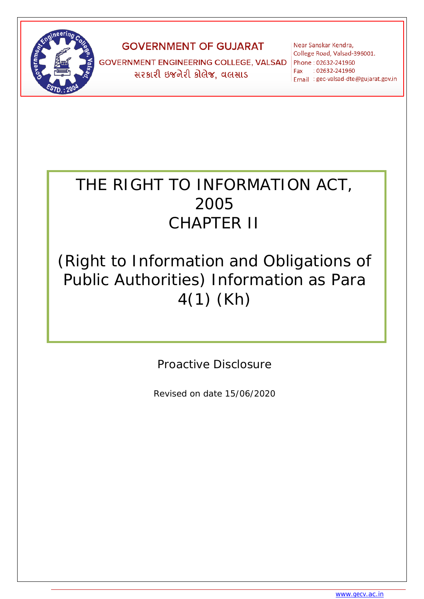

# **GOVERNMENT OF GUJARAT**

**GOVERNMENT ENGINEERING COLLEGE, VALSAD** <u>સરકારી ઇજનેરી કોલેજ, વલસાડ</u>

Near Sanskar Kendra, College Road, Valsad-396001. Phone: 02632-241960 Fax : 02632-241960 Email : gec-valsad-dte@gujarat.gov.in

# THE RIGHT TO INFORMATION ACT, 2005 CHAPTER II

# (Right to Information and Obligations of Public Authorities) Information as Para 4(1) (Kh)

Proactive Disclosure

Revised on date 15/06/2020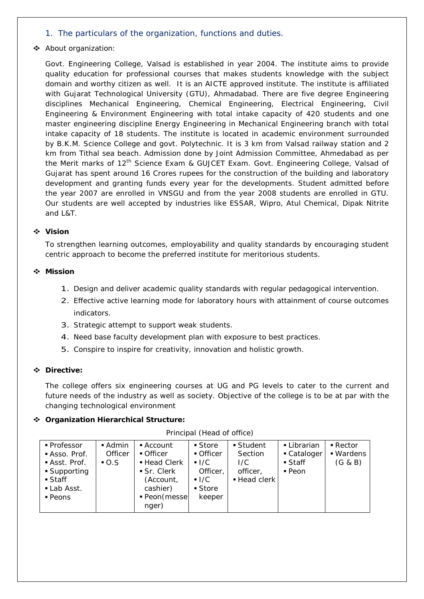# *1. The particulars of the organization, functions and duties.*

# About organization:

Govt. Engineering College, Valsad is established in year 2004. The institute aims to provide quality education for professional courses that makes students knowledge with the subject domain and worthy citizen as well. It is an AICTE approved institute. The institute is affiliated with Gujarat Technological University (GTU), Ahmadabad. There are five degree Engineering disciplines Mechanical Engineering, Chemical Engineering, Electrical Engineering, Civil Engineering & Environment Engineering with total intake capacity of 420 students and one master engineering discipline Energy Engineering in Mechanical Engineering branch with total intake capacity of 18 students. The institute is located in academic environment surrounded by B.K.M. Science College and govt. Polytechnic. It is 3 km from Valsad railway station and 2 km from Tithal sea beach. Admission done by Joint Admission Committee, Ahmedabad as per the Merit marks of 12<sup>th</sup> Science Exam & GUJCET Exam. Govt. Engineering College, Valsad of Gujarat has spent around 16 Crores rupees for the construction of the building and laboratory development and granting funds every year for the developments. Student admitted before the year 2007 are enrolled in VNSGU and from the year 2008 students are enrolled in GTU. Our students are well accepted by industries like ESSAR, Wipro, Atul Chemical, Dipak Nitrite and L&T.

## **Vision**

To strengthen learning outcomes, employability and quality standards by encouraging student centric approach to become the preferred institute for meritorious students.

#### **Mission**

- 1. Design and deliver academic quality standards with regular pedagogical intervention.
- 2. Effective active learning mode for laboratory hours with attainment of course outcomes indicators.
- 3. Strategic attempt to support weak students.
- 4. Need base faculty development plan with exposure to best practices.
- 5. Conspire to inspire for creativity, innovation and holistic growth.

#### **Directive:**

The college offers six engineering courses at UG and PG levels to cater to the current and future needs of the industry as well as society. Objective of the college is to be at par with the changing technological environment

#### **Organization Hierarchical Structure:**

| ■ Professor          | $\blacksquare$ Admin | $\blacksquare$ Account   | ■ Store            | $\blacksquare$ Student | • Librarian         | $\blacksquare$ Rector |
|----------------------|----------------------|--------------------------|--------------------|------------------------|---------------------|-----------------------|
| Asso. Prof.          | Officer              | • Officer                | • Officer          | Section                | • Cataloger         | ■ Wardens             |
| Asst. Prof.          | $-0.5$               | ■ Head Clerk             | $-1/C$             | I/C                    | ■ Staff             | (G & B)               |
| ■ Supporting         |                      | $\blacksquare$ Sr. Clerk | Officer,           | officer,               | $\blacksquare$ Peon |                       |
| ■ Staff              |                      | (Account,                | $\blacksquare$ I/C | ■ Head clerk           |                     |                       |
| Lab Asst.            |                      | cashier)                 | ■ Store            |                        |                     |                       |
| $\blacksquare$ Peons |                      | ■ Peon(messe             | keeper             |                        |                     |                       |
|                      |                      | nger)                    |                    |                        |                     |                       |

Principal (Head of office)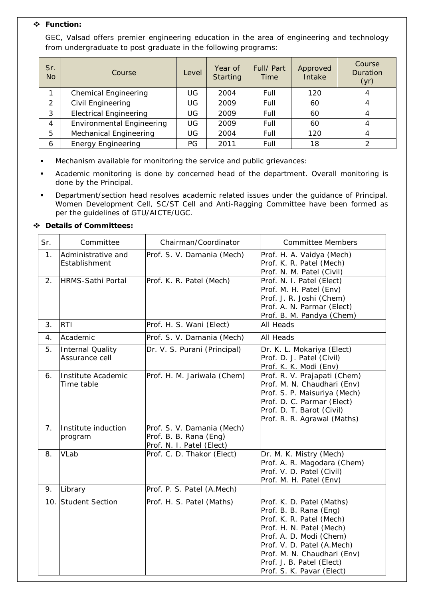# **Function:**

GEC, Valsad offers premier engineering education in the area of engineering and technology from undergraduate to post graduate in the following programs:

| Sr.<br><b>No</b> | Course                           | Level | Year of<br><b>Starting</b> | Full/ Part<br>Time | Approved<br>Intake | Course<br>Duration<br>(yr) |
|------------------|----------------------------------|-------|----------------------------|--------------------|--------------------|----------------------------|
|                  | <b>Chemical Engineering</b>      | UG    | 2004                       | Full               | 120                | 4                          |
| 2                | Civil Engineering                | UG    | 2009                       | Full               | 60                 | 4                          |
| 3                | <b>Electrical Engineering</b>    | UG    | 2009                       | Full               | 60                 | 4                          |
| 4                | <b>Environmental Engineering</b> | UG    | 2009                       | Full               | 60                 |                            |
| 5                | <b>Mechanical Engineering</b>    | UG    | 2004                       | Full               | 120                | 4                          |
| 6                | <b>Energy Engineering</b>        | PG    | 2011                       | Full               | 18                 |                            |

- Mechanism available for monitoring the service and public grievances:
- Academic monitoring is done by concerned head of the department. Overall monitoring is done by the Principal.
- Department/section head resolves academic related issues under the guidance of Principal. Women Development Cell, SC/ST Cell and Anti-Ragging Committee have been formed as per the guidelines of GTU/AICTE/UGC.

## **Details of Committees:**

| Sr.            | Committee                                 | Chairman/Coordinator                                                              | <b>Committee Members</b>                                                                                                                                                                                                                                      |
|----------------|-------------------------------------------|-----------------------------------------------------------------------------------|---------------------------------------------------------------------------------------------------------------------------------------------------------------------------------------------------------------------------------------------------------------|
| 1.             | Administrative and<br>Establishment       | Prof. S. V. Damania (Mech)                                                        | Prof. H. A. Vaidya (Mech)<br>Prof. K. R. Patel (Mech)<br>Prof. N. M. Patel (Civil)                                                                                                                                                                            |
| 2.             | <b>HRMS-Sathi Portal</b>                  | Prof. K. R. Patel (Mech)                                                          | Prof. N. I. Patel (Elect)<br>Prof. M. H. Patel (Env)<br>Prof. J. R. Joshi (Chem)<br>Prof. A. N. Parmar (Elect)<br>Prof. B. M. Pandya (Chem)                                                                                                                   |
| 3.             | <b>RTI</b>                                | Prof. H. S. Wani (Elect)                                                          | <b>All Heads</b>                                                                                                                                                                                                                                              |
| 4.             | Academic                                  | Prof. S. V. Damania (Mech)                                                        | <b>All Heads</b>                                                                                                                                                                                                                                              |
| 5.             | <b>Internal Quality</b><br>Assurance cell | Dr. V. S. Purani (Principal)                                                      | Dr. K. L. Mokariya (Elect)<br>Prof. D. J. Patel (Civil)<br>Prof. K. K. Modi (Env)                                                                                                                                                                             |
| 6.             | Institute Academic<br>Time table          | Prof. H. M. Jariwala (Chem)                                                       | Prof. R. V. Prajapati (Chem)<br>Prof. M. N. Chaudhari (Env)<br>Prof. S. P. Maisuriya (Mech)<br>Prof. D. C. Parmar (Elect)<br>Prof. D. T. Barot (Civil)<br>Prof. R. R. Agrawal (Maths)                                                                         |
| 7 <sub>1</sub> | Institute induction<br>program            | Prof. S. V. Damania (Mech)<br>Prof. B. B. Rana (Eng)<br>Prof. N. I. Patel (Elect) |                                                                                                                                                                                                                                                               |
| 8.             | VLab                                      | Prof. C. D. Thakor (Elect)                                                        | Dr. M. K. Mistry (Mech)<br>Prof. A. R. Magodara (Chem)<br>Prof. V. D. Patel (Civil)<br>Prof. M. H. Patel (Env)                                                                                                                                                |
| 9.             | Library                                   | Prof. P. S. Patel (A.Mech)                                                        |                                                                                                                                                                                                                                                               |
| 10.            | Student Section                           | Prof. H. S. Patel (Maths)                                                         | Prof. K. D. Patel (Maths)<br>Prof. B. B. Rana (Eng)<br>Prof. K. R. Patel (Mech)<br>Prof. H. N. Patel (Mech)<br>Prof. A. D. Modi (Chem)<br>Prof. V. D. Patel (A.Mech)<br>Prof. M. N. Chaudhari (Env)<br>Prof. J. B. Patel (Elect)<br>Prof. S. K. Pavar (Elect) |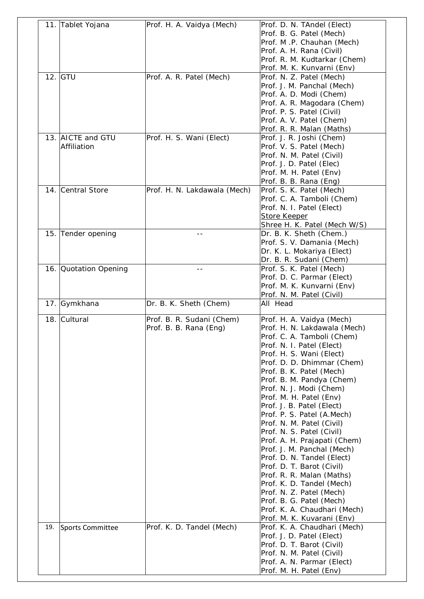|     | 11. Tablet Yojana                | Prof. H. A. Vaidya (Mech)                           | Prof. D. N. TAndel (Elect)<br>Prof. B. G. Patel (Mech)<br>Prof. M.P. Chauhan (Mech)<br>Prof. A. H. Rana (Civil)<br>Prof. R. M. Kudtarkar (Chem)                                                                                                                                                                                                                                                                                                                                                                                                                                                                                                                                                                             |
|-----|----------------------------------|-----------------------------------------------------|-----------------------------------------------------------------------------------------------------------------------------------------------------------------------------------------------------------------------------------------------------------------------------------------------------------------------------------------------------------------------------------------------------------------------------------------------------------------------------------------------------------------------------------------------------------------------------------------------------------------------------------------------------------------------------------------------------------------------------|
|     | $12.$ GTU                        | Prof. A. R. Patel (Mech)                            | Prof. M. K. Kunvarni (Env)<br>Prof. N. Z. Patel (Mech)<br>Prof. J. M. Panchal (Mech)<br>Prof. A. D. Modi (Chem)<br>Prof. A. R. Magodara (Chem)<br>Prof. P. S. Patel (Civil)<br>Prof. A. V. Patel (Chem)<br>Prof. R. R. Malan (Maths)                                                                                                                                                                                                                                                                                                                                                                                                                                                                                        |
|     | 13. AICTE and GTU<br>Affiliation | Prof. H. S. Wani (Elect)                            | Prof. J. R. Joshi (Chem)<br>Prof. V. S. Patel (Mech)<br>Prof. N. M. Patel (Civil)<br>Prof. J. D. Patel (Elec)<br>Prof. M. H. Patel (Env)<br>Prof. B. B. Rana (Eng)                                                                                                                                                                                                                                                                                                                                                                                                                                                                                                                                                          |
|     | 14. Central Store                | Prof. H. N. Lakdawala (Mech)                        | Prof. S. K. Patel (Mech)<br>Prof. C. A. Tamboli (Chem)<br>Prof. N. I. Patel (Elect)<br><b>Store Keeper</b><br>Shree H. K. Patel (Mech W/S)                                                                                                                                                                                                                                                                                                                                                                                                                                                                                                                                                                                  |
|     | 15. Tender opening               | $- -$                                               | Dr. B. K. Sheth (Chem.)<br>Prof. S. V. Damania (Mech)<br>Dr. K. L. Mokariya (Elect)<br>Dr. B. R. Sudani (Chem)                                                                                                                                                                                                                                                                                                                                                                                                                                                                                                                                                                                                              |
|     | 16. Quotation Opening            | $- -$                                               | Prof. S. K. Patel (Mech)<br>Prof. D. C. Parmar (Elect)<br>Prof. M. K. Kunvarni (Env)<br>Prof. N. M. Patel (Civil)                                                                                                                                                                                                                                                                                                                                                                                                                                                                                                                                                                                                           |
|     | 17. Gymkhana                     | Dr. B. K. Sheth (Chem)                              | All Head                                                                                                                                                                                                                                                                                                                                                                                                                                                                                                                                                                                                                                                                                                                    |
|     | 18. Cultural                     | Prof. B. R. Sudani (Chem)<br>Prof. B. B. Rana (Eng) | Prof. H. A. Vaidya (Mech)<br>Prof. H. N. Lakdawala (Mech)<br>Prof. C. A. Tamboli (Chem)<br>Prof. N. I. Patel (Elect)<br>Prof. H. S. Wani (Elect)<br>Prof. D. D. Dhimmar (Chem)<br>Prof. B. K. Patel (Mech)<br>Prof. B. M. Pandya (Chem)<br>Prof. N. J. Modi (Chem)<br>Prof. M. H. Patel (Env)<br>Prof. J. B. Patel (Elect)<br>Prof. P. S. Patel (A.Mech)<br>Prof. N. M. Patel (Civil)<br>Prof. N. S. Patel (Civil)<br>Prof. A. H. Prajapati (Chem)<br>Prof. J. M. Panchal (Mech)<br>Prof. D. N. Tandel (Elect)<br>Prof. D. T. Barot (Civil)<br>Prof. R. R. Malan (Maths)<br>Prof. K. D. Tandel (Mech)<br>Prof. N. Z. Patel (Mech)<br>Prof. B. G. Patel (Mech)<br>Prof. K. A. Chaudhari (Mech)<br>Prof. M. K. Kuvarani (Env) |
| 19. | Sports Committee                 | Prof. K. D. Tandel (Mech)                           | Prof. K. A. Chaudhari (Mech)<br>Prof. J. D. Patel (Elect)<br>Prof. D. T. Barot (Civil)<br>Prof. N. M. Patel (Civil)<br>Prof. A. N. Parmar (Elect)                                                                                                                                                                                                                                                                                                                                                                                                                                                                                                                                                                           |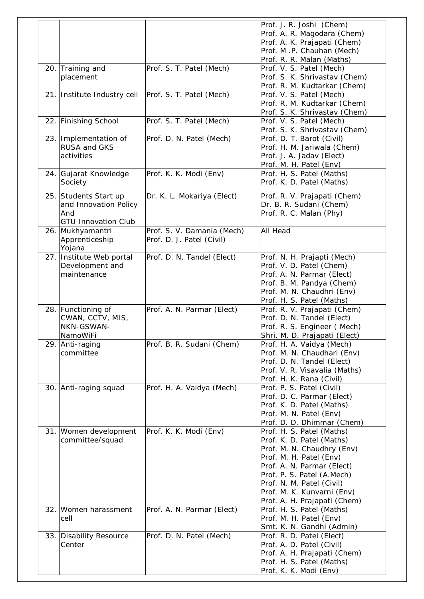|     |                              |                            | Prof. J. R. Joshi (Chem)                                    |
|-----|------------------------------|----------------------------|-------------------------------------------------------------|
|     |                              |                            | Prof. A. R. Magodara (Chem)                                 |
|     |                              |                            | Prof. A. K. Prajapati (Chem)                                |
|     |                              |                            | Prof. M.P. Chauhan (Mech)                                   |
|     |                              |                            | Prof. R. R. Malan (Maths)                                   |
|     | 20. Training and             | Prof. S. T. Patel (Mech)   | Prof. V. S. Patel (Mech)                                    |
|     | placement                    |                            | Prof. S. K. Shrivastav (Chem)                               |
|     |                              |                            | Prof. R. M. Kudtarkar (Chem)                                |
|     | 21. Institute Industry cell  | Prof. S. T. Patel (Mech)   | Prof. V. S. Patel (Mech)                                    |
|     |                              |                            | Prof. R. M. Kudtarkar (Chem)                                |
|     | 22. Finishing School         | Prof. S. T. Patel (Mech)   | Prof. S. K. Shrivastav (Chem)<br>Prof. V. S. Patel (Mech)   |
|     |                              |                            | Prof. S. K. Shrivastav (Chem)                               |
|     | 23. Implementation of        | Prof. D. N. Patel (Mech)   | Prof. D. T. Barot (Civil)                                   |
|     | RUSA and GKS                 |                            | Prof. H. M. Jariwala (Chem)                                 |
|     | activities                   |                            | Prof. J. A. Jadav (Elect)                                   |
|     |                              |                            | Prof. M. H. Patel (Env)                                     |
|     | 24. Gujarat Knowledge        | Prof. K. K. Modi (Env)     | Prof. H. S. Patel (Maths)                                   |
|     | Society                      |                            | Prof. K. D. Patel (Maths)                                   |
|     | 25. Students Start up        | Dr. K. L. Mokariya (Elect) | Prof. R. V. Prajapati (Chem)                                |
|     | and Innovation Policy<br>And |                            | Dr. B. R. Sudani (Chem)<br>Prof. R. C. Malan (Phy)          |
|     | <b>GTU Innovation Club</b>   |                            |                                                             |
|     | 26. Mukhyamantri             | Prof. S. V. Damania (Mech) | <b>All Head</b>                                             |
|     | Apprenticeship               | Prof. D. J. Patel (Civil)  |                                                             |
|     | Yojana                       |                            |                                                             |
|     | 27. Institute Web portal     | Prof. D. N. Tandel (Elect) | Prof. N. H. Prajapti (Mech)                                 |
|     | Development and              |                            | Prof. V. D. Patel (Chem)                                    |
|     | maintenance                  |                            | Prof. A. N. Parmar (Elect)                                  |
|     |                              |                            | Prof. B. M. Pandya (Chem)                                   |
|     |                              |                            | Prof. M. N. Chaudhri (Env)                                  |
|     |                              |                            | Prof. H. S. Patel (Maths)                                   |
|     | 28. Functioning of           | Prof. A. N. Parmar (Elect) | Prof. R. V. Prajapati (Chem)                                |
|     | CWAN, CCTV, MIS,             |                            | Prof. D. N. Tandel (Elect)                                  |
|     | NKN-GSWAN-                   |                            | Prof. R. S. Engineer (Mech)                                 |
|     | NamoWiFi                     |                            | Shri. M. D. Prajapati (Elect)                               |
|     | 29. Anti-raging              | Prof. B. R. Sudani (Chem)  | Prof. H. A. Vaidya (Mech)                                   |
|     | committee                    |                            | Prof. M. N. Chaudhari (Env)                                 |
|     |                              |                            | Prof. D. N. Tandel (Elect)<br>Prof. V. R. Visavalia (Maths) |
|     |                              |                            | Prof. H. K. Rana (Civil)                                    |
|     | 30. Anti-raging squad        | Prof. H. A. Vaidya (Mech)  | Prof. P. S. Patel (Civil)                                   |
|     |                              |                            | Prof. D. C. Parmar (Elect)                                  |
|     |                              |                            | Prof. K. D. Patel (Maths)                                   |
|     |                              |                            | Prof. M. N. Patel (Env)                                     |
|     |                              |                            | Prof. D. D. Dhimmar (Chem)                                  |
|     | 31. Women development        | Prof. K. K. Modi (Env)     | Prof. H. S. Patel (Maths)                                   |
|     | committee/squad              |                            | Prof. K. D. Patel (Maths)                                   |
|     |                              |                            | Prof. M. N. Chaudhry (Env)                                  |
|     |                              |                            | Prof. M. H. Patel (Env)                                     |
|     |                              |                            | Prof. A. N. Parmar (Elect)                                  |
|     |                              |                            | Prof. P. S. Patel (A.Mech)                                  |
|     |                              |                            | Prof. N. M. Patel (Civil)                                   |
|     |                              |                            | Prof. M. K. Kunvarni (Env)                                  |
|     |                              |                            | Prof. A. H. Prajapati (Chem)                                |
| 32. | Women harassment             | Prof. A. N. Parmar (Elect) | Prof. H. S. Patel (Maths)                                   |
|     | cell                         |                            | Prof. M. H. Patel (Env)                                     |
|     |                              |                            | Smt. K. N. Gandhi (Admin)                                   |
|     | 33. Disability Resource      | Prof. D. N. Patel (Mech)   | Prof. R. D. Patel (Elect)                                   |
|     | Center                       |                            | Prof. A. D. Patel (Civil)                                   |
|     |                              |                            | Prof. A. H. Prajapati (Chem)                                |
|     |                              |                            | Prof. H. S. Patel (Maths)<br>Prof. K. K. Modi (Env)         |
|     |                              |                            |                                                             |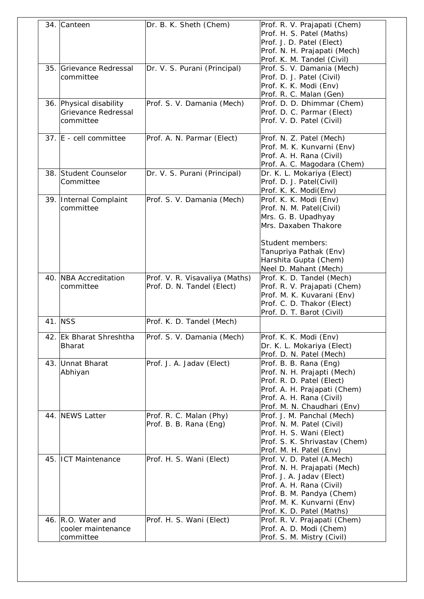|     | 34. Canteen                                                        | Dr. B. K. Sheth (Chem)                                       | Prof. R. V. Prajapati (Chem)<br>Prof. H. S. Patel (Maths)<br>Prof. J. D. Patel (Elect)<br>Prof. N. H. Prajapati (Mech)<br>Prof. K. M. Tandel (Civil)                                                        |
|-----|--------------------------------------------------------------------|--------------------------------------------------------------|-------------------------------------------------------------------------------------------------------------------------------------------------------------------------------------------------------------|
|     | 35. Grievance Redressal<br>committee                               | Dr. V. S. Purani (Principal)                                 | Prof. S. V. Damania (Mech)<br>Prof. D. J. Patel (Civil)<br>Prof. K. K. Modi (Env)<br>Prof. R. C. Malan (Gen)                                                                                                |
|     | 36. Physical disability<br><b>Grievance Redressal</b><br>committee | Prof. S. V. Damania (Mech)                                   | Prof. D. D. Dhimmar (Chem)<br>Prof. D. C. Parmar (Elect)<br>Prof. V. D. Patel (Civil)                                                                                                                       |
|     | 37. E - cell committee                                             | Prof. A. N. Parmar (Elect)                                   | Prof. N. Z. Patel (Mech)<br>Prof. M. K. Kunvarni (Env)<br>Prof. A. H. Rana (Civil)<br>Prof. A. C. Magodara (Chem)                                                                                           |
|     | 38. Student Counselor<br>Committee                                 | Dr. V. S. Purani (Principal)                                 | Dr. K. L. Mokariya (Elect)<br>Prof. D. J. Patel(Civil)<br>Prof. K. K. Modi(Env)                                                                                                                             |
|     | 39. Internal Complaint<br>committee                                | Prof. S. V. Damania (Mech)                                   | Prof. K. K. Modi (Env)<br>Prof. N. M. Patel(Civil)<br>Mrs. G. B. Upadhyay<br>Mrs. Daxaben Thakore<br>Student members:<br>Tanupriya Pathak (Env)<br>Harshita Gupta (Chem)<br>Neel D. Mahant (Mech)           |
|     | 40. NBA Accreditation<br>committee                                 | Prof. V. R. Visavaliya (Maths)<br>Prof. D. N. Tandel (Elect) | Prof. K. D. Tandel (Mech)<br>Prof. R. V. Prajapati (Chem)<br>Prof. M. K. Kuvarani (Env)<br>Prof. C. D. Thakor (Elect)<br>Prof. D. T. Barot (Civil)                                                          |
|     | 41. NSS                                                            | Prof. K. D. Tandel (Mech)                                    |                                                                                                                                                                                                             |
| 42. | <b>Ek Bharat Shreshtha</b><br><b>Bharat</b>                        | Prof. S. V. Damania (Mech)                                   | Prof. K. K. Modi (Env)<br>Dr. K. L. Mokariya (Elect)<br>Prof. D. N. Patel (Mech)                                                                                                                            |
|     | 43. Unnat Bharat<br>Abhiyan                                        | Prof. J. A. Jadav (Elect)                                    | Prof. B. B. Rana (Eng)<br>Prof. N. H. Prajapti (Mech)<br>Prof. R. D. Patel (Elect)<br>Prof. A. H. Prajapati (Chem)<br>Prof. A. H. Rana (Civil)<br>Prof. M. N. Chaudhari (Env)                               |
|     | 44. NEWS Latter                                                    | Prof. R. C. Malan (Phy)<br>Prof. B. B. Rana (Eng)            | Prof. J. M. Panchal (Mech)<br>Prof. N. M. Patel (Civil)<br>Prof. H. S. Wani (Elect)<br>Prof. S. K. Shrivastav (Chem)<br>Prof. M. H. Patel (Env)                                                             |
|     | 45. ICT Maintenance                                                | Prof. H. S. Wani (Elect)                                     | Prof. V. D. Patel (A.Mech)<br>Prof. N. H. Prajapati (Mech)<br>Prof. J. A. Jadav (Elect)<br>Prof. A. H. Rana (Civil)<br>Prof. B. M. Pandya (Chem)<br>Prof. M. K. Kunvarni (Env)<br>Prof. K. D. Patel (Maths) |
|     | 46. R.O. Water and<br>cooler maintenance<br>committee              | Prof. H. S. Wani (Elect)                                     | Prof. R. V. Prajapati (Chem)<br>Prof. A. D. Modi (Chem)<br>Prof. S. M. Mistry (Civil)                                                                                                                       |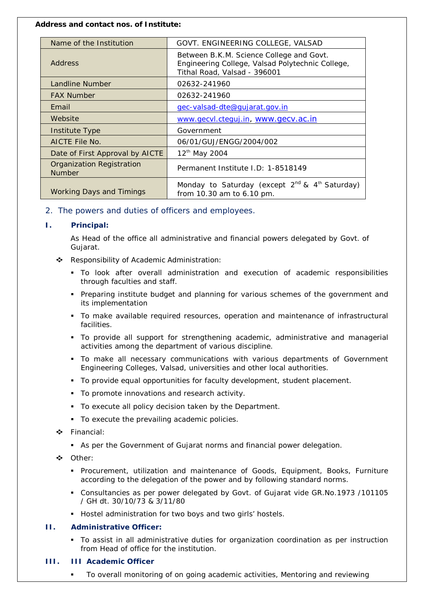#### **Address and contact nos. of Institute:**

| Name of the Institution                           | GOVT. ENGINEERING COLLEGE, VALSAD                                                                                            |
|---------------------------------------------------|------------------------------------------------------------------------------------------------------------------------------|
| <b>Address</b>                                    | Between B.K.M. Science College and Govt.<br>Engineering College, Valsad Polytechnic College,<br>Tithal Road, Valsad - 396001 |
| <b>Landline Number</b>                            | 02632-241960                                                                                                                 |
| <b>FAX Number</b>                                 | 02632-241960                                                                                                                 |
| Email                                             | gec-valsad-dte@qujarat.gov.in                                                                                                |
| Website                                           | www.gecvl.cteguj.in, www.gecv.ac.in                                                                                          |
| Institute Type                                    | Government                                                                                                                   |
| AICTE File No.                                    | 06/01/GUJ/ENGG/2004/002                                                                                                      |
| Date of First Approval by AICTE                   | 12 <sup>th</sup> May 2004                                                                                                    |
| <b>Organization Registration</b><br><b>Number</b> | Permanent Institute I.D: 1-8518149                                                                                           |
| <b>Working Days and Timings</b>                   | Monday to Saturday (except 2 <sup>nd</sup> & 4 <sup>th</sup> Saturday)<br>from 10.30 am to 6.10 pm.                          |

*2. The powers and duties of officers and employees.*

# **I. Principal:**

As Head of the office all administrative and financial powers delegated by Govt. of Gujarat.

- \* Responsibility of Academic Administration:
	- To look after overall administration and execution of academic responsibilities through faculties and staff.
	- Preparing institute budget and planning for various schemes of the government and its implementation
	- To make available required resources, operation and maintenance of infrastructural facilities.
	- To provide all support for strengthening academic, administrative and managerial activities among the department of various discipline.
	- To make all necessary communications with various departments of Government Engineering Colleges, Valsad, universities and other local authorities.
	- To provide equal opportunities for faculty development, student placement.
	- **To promote innovations and research activity.**
	- To execute all policy decision taken by the Department.
	- To execute the prevailing academic policies.
- **❖** Financial:
	- As per the Government of Gujarat norms and financial power delegation.
- Other:
	- Procurement, utilization and maintenance of Goods, Equipment, Books, Furniture according to the delegation of the power and by following standard norms.
	- Consultancies as per power delegated by Govt. of Gujarat vide GR.No.1973 /101105 / GH dt. 30/10/73 & 3/11/80
	- Hostel administration for two boys and two girls' hostels.

# **II. Administrative Officer:**

- To assist in all administrative duties for organization coordination as per instruction from Head of office for the institution.
- **III. III Academic Officer**
	- To overall monitoring of on going academic activities, Mentoring and reviewing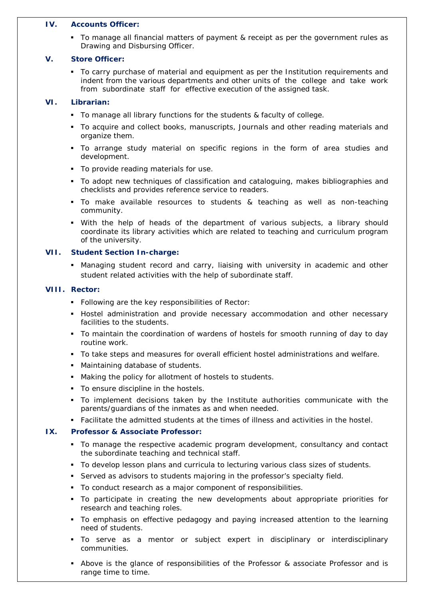#### **IV. Accounts Officer:**

 To manage all financial matters of payment & receipt as per the government rules as Drawing and Disbursing Officer.

# **V. Store Officer:**

 To carry purchase of material and equipment as per the Institution requirements and indent from the various departments and other units of the college and take work from subordinate staff for effective execution of the assigned task.

# **VI. Librarian:**

- To manage all library functions for the students & faculty of college.
- To acquire and collect books, manuscripts, Journals and other reading materials and organize them.
- To arrange study material on specific regions in the form of area studies and development.
- To provide reading materials for use.
- To adopt new techniques of classification and cataloguing, makes bibliographies and checklists and provides reference service to readers.
- To make available resources to students & teaching as well as non-teaching community.
- With the help of heads of the department of various subjects, a library should coordinate its library activities which are related to teaching and curriculum program of the university.

# **VII. Student Section In-charge:**

**Managing student record and carry, liaising with university in academic and other** student related activities with the help of subordinate staff.

## **VIII. Rector:**

- **Following are the key responsibilities of Rector:**
- **H** Hostel administration and provide necessary accommodation and other necessary facilities to the students.
- To maintain the coordination of wardens of hostels for smooth running of day to day routine work.
- To take steps and measures for overall efficient hostel administrations and welfare.
- Maintaining database of students.
- Making the policy for allotment of hostels to students.
- To ensure discipline in the hostels.
- To implement decisions taken by the Institute authorities communicate with the parents/guardians of the inmates as and when needed.
- Facilitate the admitted students at the times of illness and activities in the hostel.

# **IX. Professor & Associate Professor:**

- To manage the respective academic program development, consultancy and contact the subordinate teaching and technical staff.
- To develop lesson plans and curricula to lecturing various class sizes of students.
- Served as advisors to students majoring in the professor's specialty field.
- To conduct research as a major component of responsibilities.
- To participate in creating the new developments about appropriate priorities for research and teaching roles.
- To emphasis on effective pedagogy and paying increased attention to the learning need of students.
- To serve as a mentor or subject expert in disciplinary or interdisciplinary communities.
- Above is the glance of responsibilities of the Professor & associate Professor and is range time to time.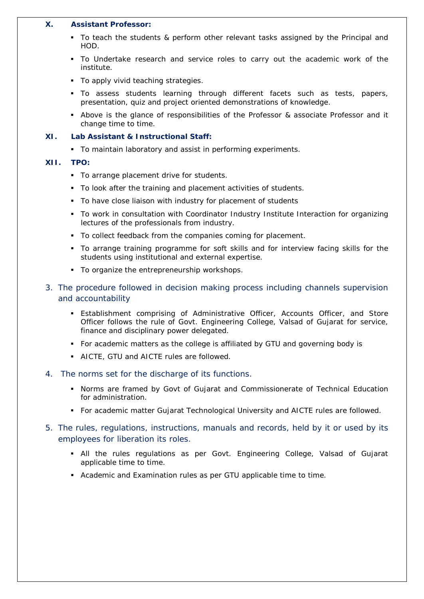#### **X. Assistant Professor:**

- To teach the students & perform other relevant tasks assigned by the Principal and HOD.
- To Undertake research and service roles to carry out the academic work of the institute.
- To apply vivid teaching strategies.
- To assess students learning through different facets such as tests, papers, presentation, quiz and project oriented demonstrations of knowledge.
- Above is the glance of responsibilities of the Professor & associate Professor and it change time to time.

#### **XI. Lab Assistant & Instructional Staff:**

To maintain laboratory and assist in performing experiments.

#### **XII. TPO:**

- To arrange placement drive for students.
- To look after the training and placement activities of students.
- To have close liaison with industry for placement of students
- To work in consultation with Coordinator Industry Institute Interaction for organizing lectures of the professionals from industry.
- To collect feedback from the companies coming for placement.
- To arrange training programme for soft skills and for interview facing skills for the students using institutional and external expertise.
- **To organize the entrepreneurship workshops.**
- *3. The procedure followed in decision making process including channels supervision and accountability*
	- Establishment comprising of Administrative Officer, Accounts Officer, and Store Officer follows the rule of Govt. Engineering College, Valsad of Gujarat for service, finance and disciplinary power delegated.
	- For academic matters as the college is affiliated by GTU and governing body is
	- AICTE, GTU and AICTE rules are followed.
- *4. The norms set for the discharge of its functions.*
	- Norms are framed by Govt of Gujarat and Commissionerate of Technical Education for administration.
	- For academic matter Gujarat Technological University and AICTE rules are followed.
- *5. The rules, regulations, instructions, manuals and records, held by it or used by its employees for liberation its roles.*
	- All the rules regulations as per Govt. Engineering College, Valsad of Gujarat applicable time to time.
	- Academic and Examination rules as per GTU applicable time to time.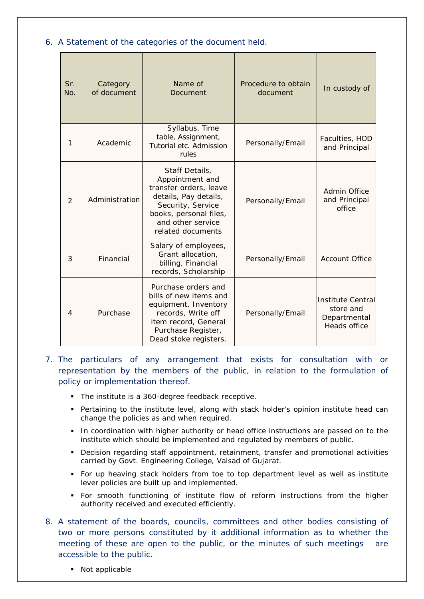# *6. A Statement of the categories of the document held.*

| Sr.<br>No.     | Category<br>of document | Name of<br>Document                                                                                                                                                           | Procedure to obtain<br>document | In custody of                                                         |
|----------------|-------------------------|-------------------------------------------------------------------------------------------------------------------------------------------------------------------------------|---------------------------------|-----------------------------------------------------------------------|
| 1              | Academic                | Syllabus, Time<br>table, Assignment,<br>Tutorial etc. Admission<br>rules                                                                                                      | Personally/Email                | Faculties, HOD<br>and Principal                                       |
| $\overline{2}$ | Administration          | Staff Details,<br>Appointment and<br>transfer orders, leave<br>details, Pay details,<br>Security, Service<br>books, personal files,<br>and other service<br>related documents | Personally/Email                | Admin Office<br>and Principal<br>office                               |
| 3              | Financial               | Salary of employees,<br>Grant allocation,<br>billing, Financial<br>records, Scholarship                                                                                       | Personally/Email                | <b>Account Office</b>                                                 |
| 4              | Purchase                | Purchase orders and<br>bills of new items and<br>equipment, Inventory<br>records, Write off<br>item record, General<br>Purchase Register,<br>Dead stoke registers.            | Personally/Email                | <b>Institute Central</b><br>store and<br>Departmental<br>Heads office |

*7. The particulars of any arrangement that exists for consultation with or representation by the members of the public, in relation to the formulation of policy or implementation thereof.*

- The institute is a 360-degree feedback receptive.
- **Pertaining to the institute level, along with stack holder's opinion institute head can** change the policies as and when required.
- **In coordination with higher authority or head office instructions are passed on to the** institute which should be implemented and regulated by members of public.
- Decision regarding staff appointment, retainment, transfer and promotional activities carried by Govt. Engineering College, Valsad of Gujarat.
- For up heaving stack holders from toe to top department level as well as institute lever policies are built up and implemented.
- For smooth functioning of institute flow of reform instructions from the higher authority received and executed efficiently.
- *8. A statement of the boards, councils, committees and other bodies consisting of two or more persons constituted by it additional information as to whether the meeting of these are open to the public, or the minutes of such meetings are accessible to the public.*
	- Not applicable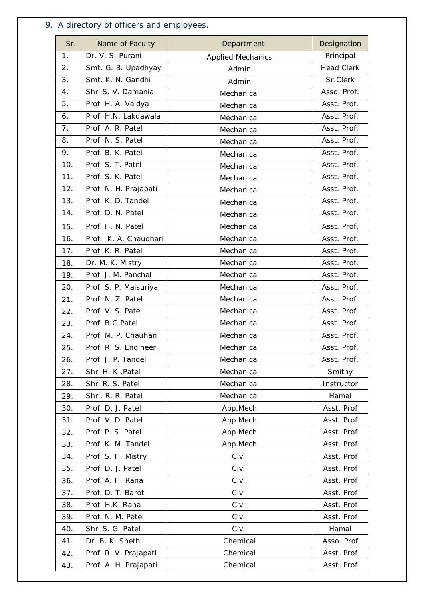# *9. A directory of officers and employees.*

| Sr.            | Name of Faculty       | Department               | Designation       |
|----------------|-----------------------|--------------------------|-------------------|
| 1.             | Dr. V. S. Purani      | <b>Applied Mechanics</b> | Principal         |
| 2.             | Smt. G. B. Upadhyay   | Admin                    | <b>Head Clerk</b> |
| 3.             | Smt. K. N. Gandhi     | Admin                    | Sr.Clerk          |
| 4.             | Shri S. V. Damania    | Mechanical               | Asso. Prof.       |
| 5.             | Prof. H. A. Vaidya    | Mechanical               | Asst. Prof.       |
| 6.             | Prof. H.N. Lakdawala  | Mechanical               | Asst. Prof.       |
| 7 <sub>1</sub> | Prof. A. R. Patel     | Mechanical               | Asst. Prof.       |
| 8.             | Prof. N. S. Patel     | Mechanical               | Asst. Prof.       |
| 9.             | Prof. B. K. Patel     | Mechanical               | Asst. Prof.       |
| 10.            | Prof. S. T. Patel     | Mechanical               | Asst. Prof.       |
| 11.            | Prof. S. K. Patel     | Mechanical               | Asst. Prof.       |
| 12.            | Prof. N. H. Prajapati | Mechanical               | Asst. Prof.       |
| 13.            | Prof. K. D. Tandel    | Mechanical               | Asst. Prof.       |
| 14.            | Prof. D. N. Patel     | Mechanical               | Asst. Prof.       |
| 15.            | Prof. H. N. Patel     | Mechanical               | Asst. Prof.       |
| 16.            | Prof. K. A. Chaudhari | Mechanical               | Asst. Prof.       |
| 17.            | Prof. K. R. Patel     | Mechanical               | Asst. Prof.       |
| 18.            | Dr. M. K. Mistry      | Mechanical               | Asst. Prof.       |
| 19.            | Prof. J. M. Panchal   | Mechanical               | Asst. Prof.       |
| 20.            | Prof. S. P. Maisuriya | Mechanical               | Asst. Prof.       |
| 21.            | Prof. N. Z. Patel     | Mechanical               | Asst. Prof.       |
| 22.            | Prof. V. S. Patel     | Mechanical               | Asst. Prof.       |
| 23.            | Prof. B.G Patel       | Mechanical               | Asst. Prof.       |
| 24.            | Prof. M. P. Chauhan   | Mechanical               | Asst. Prof.       |
| 25.            | Prof. R. S. Engineer  | Mechanical               | Asst. Prof.       |
| 26.            | Prof. J. P. Tandel    | Mechanical               | Asst. Prof.       |
| 27.            | Shri H. K. Patel      | Mechanical               | Smithy            |
| 28.            | Shri R. S. Patel      | Mechanical               | Instructor        |
| 29.            | Shri. R. R. Patel     | Mechanical               | Hamal             |
| 30.            | Prof. D. J. Patel     | App.Mech                 | Asst. Prof        |
| 31.            | Prof. V. D. Patel     | App.Mech                 | Asst. Prof        |
| 32.            | Prof. P. S. Patel     | App.Mech                 | Asst. Prof        |
| 33.            | Prof. K. M. Tandel    | App.Mech                 | Asst. Prof        |
| 34.            | Prof. S. H. Mistry    | Civil                    | Asst. Prof        |
| 35.            | Prof. D. J. Patel     | Civil                    | Asst. Prof        |
| 36.            | Prof. A. H. Rana      | Civil                    | Asst. Prof        |
| 37.            | Prof. D. T. Barot     | Civil                    | Asst. Prof        |
| 38.            | Prof. H.K. Rana       | Civil                    | Asst. Prof        |
| 39.            | Prof. N. M. Patel     | Civil                    | Asst. Prof        |
| 40.            | Shri S. G. Patel      | Civil                    | Hamal             |
| 41.            | Dr. B. K. Sheth       | Chemical                 | Asso. Prof        |
| 42.            | Prof. R. V. Prajapati | Chemical                 | Asst. Prof        |
| 43.            | Prof. A. H. Prajapati | Chemical                 | Asst. Prof        |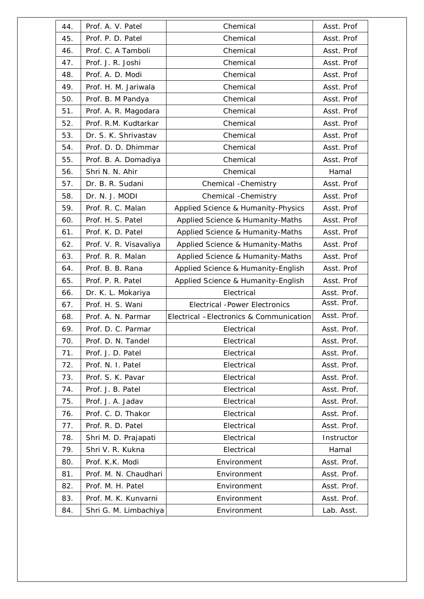| 44. | Prof. A. V. Patel      | Chemical                                | Asst. Prof  |
|-----|------------------------|-----------------------------------------|-------------|
| 45. | Prof. P. D. Patel      | Chemical                                | Asst. Prof  |
| 46. | Prof. C. A Tamboli     | Chemical                                | Asst. Prof  |
| 47. | Prof. J. R. Joshi      | Chemical                                | Asst. Prof  |
| 48. | Prof. A. D. Modi       | Chemical                                | Asst. Prof  |
| 49. | Prof. H. M. Jariwala   | Chemical                                | Asst. Prof  |
| 50. | Prof. B. M Pandya      | Chemical                                | Asst. Prof  |
| 51. | Prof. A. R. Magodara   | Chemical                                | Asst. Prof  |
| 52. | Prof. R.M. Kudtarkar   | Chemical                                | Asst. Prof  |
| 53. | Dr. S. K. Shrivastav   | Chemical                                | Asst. Prof  |
| 54. | Prof. D. D. Dhimmar    | Chemical                                | Asst. Prof  |
| 55. | Prof. B. A. Domadiya   | Chemical                                | Asst. Prof  |
| 56. | Shri N. N. Ahir        | Chemical                                | Hamal       |
| 57. | Dr. B. R. Sudani       | Chemical - Chemistry                    | Asst. Prof  |
| 58. | Dr. N. J. MODI         | Chemical - Chemistry                    | Asst. Prof  |
| 59. | Prof. R. C. Malan      | Applied Science & Humanity-Physics      | Asst. Prof  |
| 60. | Prof. H. S. Patel      | Applied Science & Humanity-Maths        | Asst. Prof  |
| 61. | Prof. K. D. Patel      | Applied Science & Humanity-Maths        | Asst. Prof  |
| 62. | Prof. V. R. Visavaliya | Applied Science & Humanity-Maths        | Asst. Prof  |
| 63. | Prof. R. R. Malan      | Applied Science & Humanity-Maths        | Asst. Prof  |
| 64. | Prof. B. B. Rana       | Applied Science & Humanity-English      | Asst. Prof  |
| 65. | Prof. P. R. Patel      | Applied Science & Humanity-English      | Asst. Prof  |
| 66. | Dr. K. L. Mokariya     | Electrical                              | Asst. Prof. |
| 67. | Prof. H. S. Wani       | <b>Electrical -Power Electronics</b>    | Asst. Prof. |
| 68. | Prof. A. N. Parmar     | Electrical -Electronics & Communication | Asst. Prof. |
| 69. | Prof. D. C. Parmar     | Electrical                              | Asst. Prof. |
| 70. | Prof. D. N. Tandel     | Electrical                              | Asst. Prof. |
| 71. | Prof. J. D. Patel      | Electrical                              | Asst. Prof. |
| 72. | Prof. N. I. Patel      | Electrical                              | Asst. Prof. |
| 73. | Prof. S. K. Pavar      | Electrical                              | Asst. Prof. |
| 74. | Prof. J. B. Patel      | Electrical                              | Asst. Prof. |
| 75. | Prof. J. A. Jadav      | Electrical                              | Asst. Prof. |
| 76. | Prof. C. D. Thakor     | Electrical                              | Asst. Prof. |
| 77. | Prof. R. D. Patel      | Electrical                              | Asst. Prof. |
| 78. | Shri M. D. Prajapati   | Electrical                              | Instructor  |
| 79. | Shri V. R. Kukna       | Electrical                              | Hamal       |
| 80. | Prof. K.K. Modi        | Environment                             | Asst. Prof. |
| 81. | Prof. M. N. Chaudhari  | Environment                             | Asst. Prof. |
| 82. | Prof. M. H. Patel      | Environment                             | Asst. Prof. |
| 83. | Prof. M. K. Kunvarni   | Environment                             | Asst. Prof. |
|     | Shri G. M. Limbachiya  | Environment                             | Lab. Asst.  |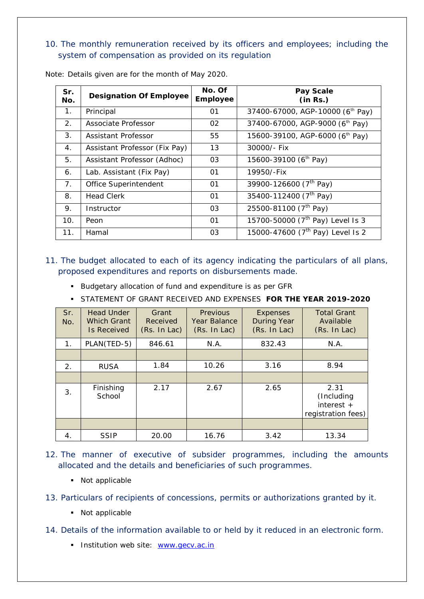# *10. The monthly remuneration received by its officers and employees; including the system of compensation as provided on its regulation*

| Sr.<br>No.     | <b>Designation Of Employee</b> | No. Of<br><b>Employee</b> | Pay Scale<br>(in Rs.)                        |
|----------------|--------------------------------|---------------------------|----------------------------------------------|
| 1.             | Principal                      | 01                        | 37400-67000, AGP-10000 (6th Pay)             |
| 2.             | Associate Professor            | 02                        | 37400-67000, AGP-9000 (6th Pay)              |
| 3 <sub>1</sub> | Assistant Professor            | 55                        | 15600-39100, AGP-6000 (6 <sup>th</sup> Pay)  |
| 4.             | Assistant Professor (Fix Pay)  | 13                        | 30000/- Fix                                  |
| 5.             | Assistant Professor (Adhoc)    | 03                        | 15600-39100 (6 <sup>th</sup> Pay)            |
| 6.             | Lab. Assistant (Fix Pay)       | 01                        | 19950/-Fix                                   |
| 7.             | Office Superintendent          | 01                        | 39900-126600 (7 <sup>th</sup> Pay)           |
| 8.             | <b>Head Clerk</b>              | 01                        | 35400-112400 (7 <sup>th</sup> Pay)           |
| 9.             | Instructor                     | 03                        | 25500-81100 (7 <sup>th</sup> Pay)            |
| 10.            | Peon                           | 01                        | 15700-50000 (7 <sup>th</sup> Pay) Level Is 3 |
| 11.            | Hamal                          | 03                        | 15000-47600 (7 <sup>th</sup> Pay) Level Is 2 |

Note: Details given are for the month of May 2020.

# *11. The budget allocated to each of its agency indicating the particulars of all plans, proposed expenditures and reports on disbursements made.*

- **Budgetary allocation of fund and expenditure is as per GFR**
- STATEMENT OF GRANT RECEIVED AND EXPENSES **FOR THE YEAR 2019-2020**

| Sr.<br>No.     | <b>Head Under</b><br><b>Which Grant</b><br><b>Is Received</b> | Grant<br>Received<br>(Rs. In Lac) | <b>Previous</b><br>Year Balance<br>(Rs. In Lac) | <b>Expenses</b><br><b>During Year</b><br>(Rs. In Lac) | <b>Total Grant</b><br>Available<br>(Rs. In Lac)          |
|----------------|---------------------------------------------------------------|-----------------------------------|-------------------------------------------------|-------------------------------------------------------|----------------------------------------------------------|
| 1 <sub>1</sub> | PLAN(TED-5)                                                   | 846.61                            | N.A.                                            | 832.43                                                | N.A.                                                     |
|                |                                                               |                                   |                                                 |                                                       |                                                          |
| 2.             | <b>RUSA</b>                                                   | 1.84                              | 10.26                                           | 3.16                                                  | 8.94                                                     |
|                |                                                               |                                   |                                                 |                                                       |                                                          |
| 3.             | Finishing<br>School                                           | 2.17                              | 2.67                                            | 2.65                                                  | 2.31<br>(Including<br>interest $+$<br>registration fees) |
|                |                                                               |                                   |                                                 |                                                       |                                                          |
| 4.             | <b>SSIP</b>                                                   | 20.00                             | 16.76                                           | 3.42                                                  | 13.34                                                    |

- *12. The manner of executive of subsider programmes, including the amounts allocated and the details and beneficiaries of such programmes.*
	- Not applicable
- *13. Particulars of recipients of concessions, permits or authorizations granted by it.*
	- Not applicable
- *14. Details of the information available to or held by it reduced in an electronic form.*
	- Institution web site: [www.gecv.ac.in](http://www.gecv.ac.in/)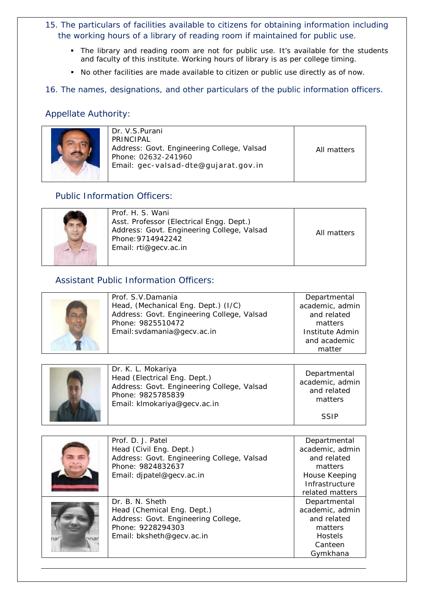- *15. The particulars of facilities available to citizens for obtaining information including the working hours of a library of reading room if maintained for public use.*
	- The library and reading room are not for public use. It's available for the students and faculty of this institute. Working hours of library is as per college timing.
	- No other facilities are made available to citizen or public use directly as of now.

*16. The names, designations, and other particulars of the public information officers.*

# Appellate Authority:



| Dr. V.S.Purani<br>PRINCIPAL<br>Address: Govt. Engineering College, Valsad<br>Phone: 02632-241960 | All matters |
|--------------------------------------------------------------------------------------------------|-------------|
| Email: gec-valsad-dte@gujarat.gov.in                                                             |             |
|                                                                                                  |             |

# Public Information Officers:

|  | Prof. H. S. Wani<br>Asst. Professor (Electrical Engg. Dept.)<br>Address: Govt. Engineering College, Valsad<br>Phone: 9714942242<br>Email: rti@gecv.ac.in | All matters |
|--|----------------------------------------------------------------------------------------------------------------------------------------------------------|-------------|
|--|----------------------------------------------------------------------------------------------------------------------------------------------------------|-------------|

# Assistant Public Information Officers:

| Prof. S.V.Damania                          | Departmental    |
|--------------------------------------------|-----------------|
|                                            |                 |
| Head, (Mechanical Eng. Dept.) (I/C)        | academic, admin |
| Address: Govt. Engineering College, Valsad | and related     |
| Phone: 9825510472                          | matters         |
| Email: svdamania@gecv.ac.in                | Institute Admin |
|                                            | and academic    |
|                                            | matter          |

| Dr. K. L. Mokariya<br>Head (Electrical Eng. Dept.)<br>Address: Govt. Engineering College, Valsad<br>Phone: 9825785839<br>Email: klmokariya@gecv.ac.in | Departmental<br>academic, admin<br>and related<br>matters |
|-------------------------------------------------------------------------------------------------------------------------------------------------------|-----------------------------------------------------------|
|                                                                                                                                                       | <b>SSIP</b>                                               |

| Prof. D. J. Patel<br>Head (Civil Eng. Dept.)<br>Address: Govt. Engineering College, Valsad<br>Phone: 9824832637<br>Email: djpatel@gecv.ac.in | Departmental<br>academic, admin<br>and related<br>matters<br>House Keeping<br>Infrastructure<br>related matters |
|----------------------------------------------------------------------------------------------------------------------------------------------|-----------------------------------------------------------------------------------------------------------------|
| Dr. B. N. Sheth<br>Head (Chemical Eng. Dept.)<br>Address: Govt. Engineering College,<br>Phone: 9228294303<br>Email: bksheth@gecv.ac.in       | Departmental<br>academic, admin<br>and related<br>matters<br><b>Hostels</b><br>Canteen<br>Gymkhana              |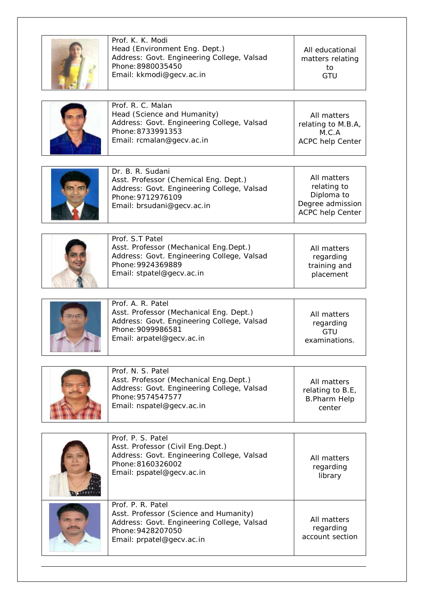| Prof. K. K. Modi<br>Head (Environment Eng. Dept.)<br>Address: Govt. Engineering College, Valsad<br>Phone: 8980035450<br>Email: kkmodi@gecv.ac.in             | All educational<br>matters relating<br>to<br>GTU                                        |
|--------------------------------------------------------------------------------------------------------------------------------------------------------------|-----------------------------------------------------------------------------------------|
| Prof. R. C. Malan<br>Head (Science and Humanity)<br>Address: Govt. Engineering College, Valsad<br>Phone: 8733991353<br>Email: rcmalan@gecv.ac.in             | All matters<br>relating to M.B.A,<br>M.C.A<br><b>ACPC help Center</b>                   |
| Dr. B. R. Sudani<br>Asst. Professor (Chemical Eng. Dept.)<br>Address: Govt. Engineering College, Valsad<br>Phone: 9712976109<br>Email: brsudani@gecv.ac.in   | All matters<br>relating to<br>Diploma to<br>Degree admission<br><b>ACPC help Center</b> |
| Prof. S.T Patel<br>Asst. Professor (Mechanical Eng.Dept.)<br>Address: Govt. Engineering College, Valsad<br>Phone: 9924369889<br>Email: stpatel@gecv.ac.in    | All matters<br>regarding<br>training and<br>placement                                   |
| Prof. A. R. Patel<br>Asst. Professor (Mechanical Eng. Dept.)<br>Address: Govt. Engineering College, Valsad<br>Phone: 9099986581<br>Email: arpatel@gecv.ac.in | All matters<br>regarding<br>GTU<br>examinations.                                        |
| Prof. N. S. Patel<br>Asst. Professor (Mechanical Eng.Dept.)<br>Address: Govt. Engineering College, Valsad<br>Phone: 9574547577<br>Email: nspatel@gecv.ac.in  | All matters<br>relating to B.E,<br><b>B.Pharm Help</b><br>center                        |
| Prof. P. S. Patel<br>Asst. Professor (Civil Eng.Dept.)<br>Address: Govt. Engineering College, Valsad<br>Phone: 8160326002<br>Email: pspatel@gecv.ac.in       | All matters<br>regarding<br>library                                                     |
| Prof. P. R. Patel<br>Asst. Professor (Science and Humanity)<br>Address: Govt. Engineering College, Valsad<br>Phone: 9428207050<br>Email: prpatel@gecv.ac.in  | All matters<br>regarding<br>account section                                             |